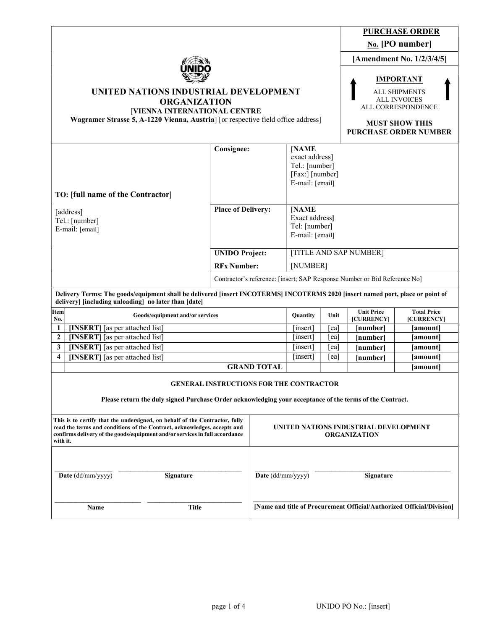|                                                                                                                                                                                                                                                    |                                                                                       |                                                              |                                                                                        |          |                                                                                                                                                | <b>PURCHASE ORDER</b>            |  |
|----------------------------------------------------------------------------------------------------------------------------------------------------------------------------------------------------------------------------------------------------|---------------------------------------------------------------------------------------|--------------------------------------------------------------|----------------------------------------------------------------------------------------|----------|------------------------------------------------------------------------------------------------------------------------------------------------|----------------------------------|--|
|                                                                                                                                                                                                                                                    |                                                                                       |                                                              |                                                                                        |          | No. [PO number]                                                                                                                                |                                  |  |
| UNITED NATIONS INDUSTRIAL DEVELOPMENT<br><b>ORGANIZATION</b><br>[VIENNA INTERNATIONAL CENTRE<br>Wagramer Strasse 5, A-1220 Vienna, Austria] [or respective field office address]                                                                   |                                                                                       |                                                              |                                                                                        |          | [Amendment No. 1/2/3/4/5]                                                                                                                      |                                  |  |
|                                                                                                                                                                                                                                                    |                                                                                       |                                                              |                                                                                        |          | <b>IMPORTANT</b><br><b>ALL SHIPMENTS</b><br><b>ALL INVOICES</b><br>ALL CORRESPONDENCE<br><b>MUST SHOW THIS</b><br><b>PURCHASE ORDER NUMBER</b> |                                  |  |
| TO: [full name of the Contractor]                                                                                                                                                                                                                  | <b>Consignee:</b>                                                                     |                                                              | <b>[NAME</b><br>exact address]<br>Tel.: [number]<br>[Fax:] [number]<br>E-mail: [email] |          |                                                                                                                                                |                                  |  |
| [address]<br>Tel.: [number]<br>E-mail: [email]                                                                                                                                                                                                     | <b>Place of Delivery:</b>                                                             |                                                              | [NAME<br>Exact address]<br>Tel: [number]<br>E-mail: [email]                            |          |                                                                                                                                                |                                  |  |
|                                                                                                                                                                                                                                                    | <b>UNIDO Project:</b>                                                                 |                                                              | [TITLE AND SAP NUMBER]                                                                 |          |                                                                                                                                                |                                  |  |
|                                                                                                                                                                                                                                                    | <b>RFx Number:</b>                                                                    |                                                              | [NUMBER]                                                                               |          |                                                                                                                                                |                                  |  |
|                                                                                                                                                                                                                                                    | Contractor's reference: [insert; SAP Response Number or Bid Reference No]             |                                                              |                                                                                        |          |                                                                                                                                                |                                  |  |
| Delivery Terms: The goods/equipment shall be delivered [insert INCOTERMS] INCOTERMS 2020 [insert named port, place or point of<br>delivery] [including unloading] no later than [date]                                                             |                                                                                       |                                                              |                                                                                        |          |                                                                                                                                                |                                  |  |
| Item<br>Goods/equipment and/or services<br>No.                                                                                                                                                                                                     |                                                                                       |                                                              | Quantity                                                                               | Unit     | <b>Unit Price</b><br>[CURRENCY]                                                                                                                | <b>Total Price</b><br>[CURRENCY] |  |
| [INSERT] [as per attached list]<br>1                                                                                                                                                                                                               |                                                                                       |                                                              | [insert]                                                                               | [ea]     | [number]                                                                                                                                       | [amount]                         |  |
| $\boldsymbol{2}$<br>[INSERT] [as per attached list]                                                                                                                                                                                                |                                                                                       |                                                              | [insert]                                                                               | [ea]     | [number]                                                                                                                                       | [amount]                         |  |
| [INSERT] [as per attached list]<br>3                                                                                                                                                                                                               |                                                                                       |                                                              | [insert]                                                                               | [ea]     | [number]                                                                                                                                       | [amount]                         |  |
| [INSERT] [as per attached list]<br>4                                                                                                                                                                                                               |                                                                                       | [insert]                                                     | [ea]                                                                                   | [number] | [amount]                                                                                                                                       |                                  |  |
|                                                                                                                                                                                                                                                    |                                                                                       | <b>GRAND TOTAL</b>                                           |                                                                                        |          |                                                                                                                                                | [amount]                         |  |
| Please return the duly signed Purchase Order acknowledging your acceptance of the terms of the Contract.                                                                                                                                           | <b>GENERAL INSTRUCTIONS FOR THE CONTRACTOR</b>                                        |                                                              |                                                                                        |          |                                                                                                                                                |                                  |  |
| This is to certify that the undersigned, on behalf of the Contractor, fully<br>read the terms and conditions of the Contract, acknowledges, accepts and<br>confirms delivery of the goods/equipment and/or services in full accordance<br>with it. |                                                                                       | UNITED NATIONS INDUSTRIAL DEVELOPMENT<br><b>ORGANIZATION</b> |                                                                                        |          |                                                                                                                                                |                                  |  |
| Date (dd/mm/yyyy)<br><b>Signature</b>                                                                                                                                                                                                              |                                                                                       | Date (dd/mm/yyyy)<br>Signature                               |                                                                                        |          |                                                                                                                                                |                                  |  |
| Name                                                                                                                                                                                                                                               | [Name and title of Procurement Official/Authorized Official/Division]<br><b>Title</b> |                                                              |                                                                                        |          |                                                                                                                                                |                                  |  |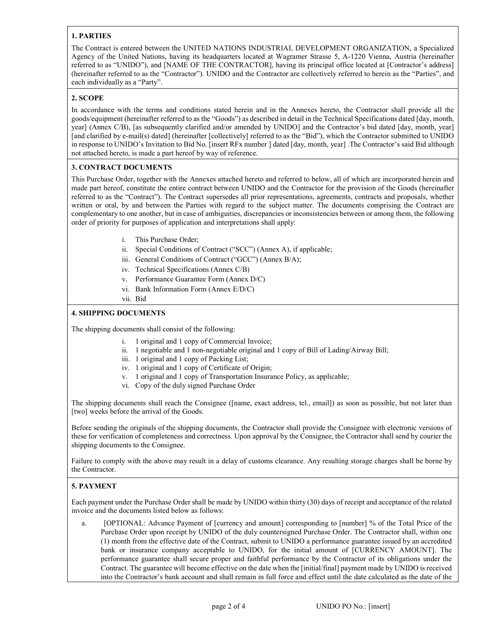# 1. PARTIES

The Contract is entered between the UNITED NATIONS INDUSTRIAL DEVELOPMENT ORGANIZATION, a Specialized Agency of the United Nations, having its headquarters located at Wagramer Strasse 5, A-1220 Vienna, Austria (hereinafter referred to as "UNIDO"), and [NAME OF THE CONTRACTOR], having its principal office located at [Contractor's address] (hereinafter referred to as the "Contractor"). UNIDO and the Contractor are collectively referred to herein as the "Parties", and each individually as a "Party".

## 2. SCOPE

In accordance with the terms and conditions stated herein and in the Annexes hereto, the Contractor shall provide all the goods/equipment (hereinafter referred to as the "Goods") as described in detail in the Technical Specifications dated [day, month, year] (Annex C/B), [as subsequently clarified and/or amended by UNIDO] and the Contractor's bid dated [day, month, year] [and clarified by e-mail(s) dated] (hereinafter [collectively] referred to as the "Bid"), which the Contractor submitted to UNIDO in response to UNIDO's Invitation to Bid No. [insert RFx number ] dated [day, month, year] .The Contractor's said Bid although not attached hereto, is made a part hereof by way of reference.

### 3. CONTRACT DOCUMENTS

This Purchase Order, together with the Annexes attached hereto and referred to below, all of which are incorporated herein and made part hereof, constitute the entire contract between UNIDO and the Contractor for the provision of the Goods (hereinafter referred to as the "Contract"). The Contract supersedes all prior representations, agreements, contracts and proposals, whether written or oral, by and between the Parties with regard to the subject matter. The documents comprising the Contract are complementary to one another, but in case of ambiguities, discrepancies or inconsistencies between or among them, the following order of priority for purposes of application and interpretations shall apply:

- i. This Purchase Order;
- ii. Special Conditions of Contract ("SCC") (Annex A), if applicable;
- iii. General Conditions of Contract ("GCC") (Annex B/A);
- iv. Technical Specifications (Annex C/B)
- v. Performance Guarantee Form (Annex D/C)
- vi. Bank Information Form (Annex E/D/C)
- vii. Bid

## 4. SHIPPING DOCUMENTS

The shipping documents shall consist of the following:

- i. 1 original and 1 copy of Commercial Invoice;
- ii. 1 negotiable and 1 non-negotiable original and 1 copy of Bill of Lading/Airway Bill;
- iii. 1 original and 1 copy of Packing List;
- iv. 1 original and 1 copy of Certificate of Origin;
- v. 1 original and 1 copy of Transportation Insurance Policy, as applicable;
- vi. Copy of the duly signed Purchase Order

The shipping documents shall reach the Consignee ([name, exact address, tel., email]) as soon as possible, but not later than [two] weeks before the arrival of the Goods.

Before sending the originals of the shipping documents, the Contractor shall provide the Consignee with electronic versions of these for verification of completeness and correctness. Upon approval by the Consignee, the Contractor shall send by courier the shipping documents to the Consignee.

Failure to comply with the above may result in a delay of customs clearance. Any resulting storage charges shall be borne by the Contractor.

# 5. PAYMENT

Each payment under the Purchase Order shall be made by UNIDO within thirty (30) days of receipt and acceptance of the related invoice and the documents listed below as follows:

a. [OPTIONAL: Advance Payment of [currency and amount] corresponding to [number] % of the Total Price of the Purchase Order upon receipt by UNIDO of the duly countersigned Purchase Order. The Contractor shall, within one (1) month from the effective date of the Contract, submit to UNIDO a performance guarantee issued by an accredited bank or insurance company acceptable to UNIDO, for the initial amount of [CURRENCY AMOUNT]. The performance guarantee shall secure proper and faithful performance by the Contractor of its obligations under the Contract. The guarantee will become effective on the date when the [initial/final] payment made by UNIDO is received into the Contractor's bank account and shall remain in full force and effect until the date calculated as the date of the